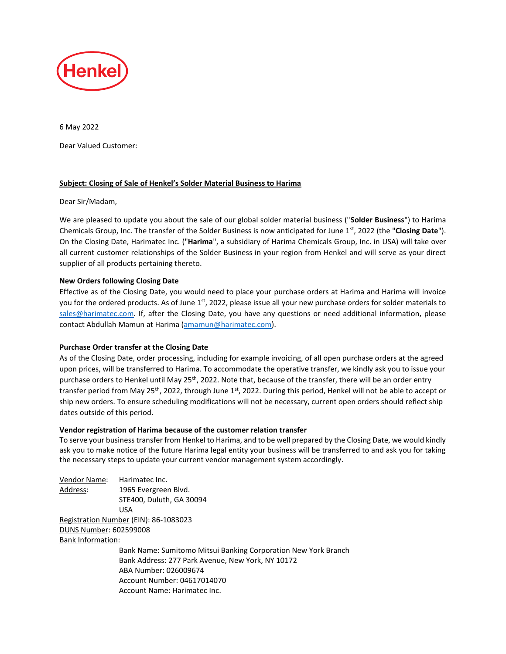

6 May 2022 Dear Valued Customer:

# **Subject: Closing of Sale of Henkel's Solder Material Business to Harima**

### Dear Sir/Madam,

We are pleased to update you about the sale of our global solder material business ("**Solder Business**") to Harima Chemicals Group, Inc. The transfer of the Solder Business is now anticipated for June 1st, 2022 (the "**Closing Date**"). On the Closing Date, Harimatec Inc. ("**Harima**", a subsidiary of Harima Chemicals Group, Inc. in USA) will take over all current customer relationships of the Solder Business in your region from Henkel and will serve as your direct supplier of all products pertaining thereto.

# **New Orders following Closing Date**

Effective as of the Closing Date, you would need to place your purchase orders at Harima and Harima will invoice you for the ordered products. As of June 1<sup>st</sup>, 2022, please issue all your new purchase orders for solder materials to sales@harimatec.com. If, after the Closing Date, you have any questions or need additional information, please contact Abdullah Mamun at Harima (amamun@harimatec.com).

### **Purchase Order transfer at the Closing Date**

As of the Closing Date, order processing, including for example invoicing, of all open purchase orders at the agreed upon prices, will be transferred to Harima. To accommodate the operative transfer, we kindly ask you to issue your purchase orders to Henkel until May 25<sup>th</sup>, 2022. Note that, because of the transfer, there will be an order entry transfer period from May 25<sup>th</sup>, 2022, through June 1<sup>st</sup>, 2022. During this period, Henkel will not be able to accept or ship new orders. To ensure scheduling modifications will not be necessary, current open orders should reflect ship dates outside of this period.

### **Vendor registration of Harima because of the customer relation transfer**

To serve your business transfer from Henkel to Harima, and to be well prepared by the Closing Date, we would kindly ask you to make notice of the future Harima legal entity your business will be transferred to and ask you for taking the necessary steps to update your current vendor management system accordingly.

| Vendor Name:             | Harimatec Inc.                                                 |
|--------------------------|----------------------------------------------------------------|
| Address:                 | 1965 Evergreen Blvd.                                           |
|                          | STE400, Duluth, GA 30094                                       |
|                          | <b>USA</b>                                                     |
|                          | Registration Number (EIN): 86-1083023                          |
| DUNS Number: 602599008   |                                                                |
| <b>Bank Information:</b> |                                                                |
|                          | Bank Name: Sumitomo Mitsui Banking Corporation New York Branch |
|                          | Bank Address: 277 Park Avenue, New York, NY 10172              |
|                          | ABA Number: 026009674                                          |
|                          | Account Number: 04617014070                                    |
|                          | Account Name: Harimatec Inc.                                   |